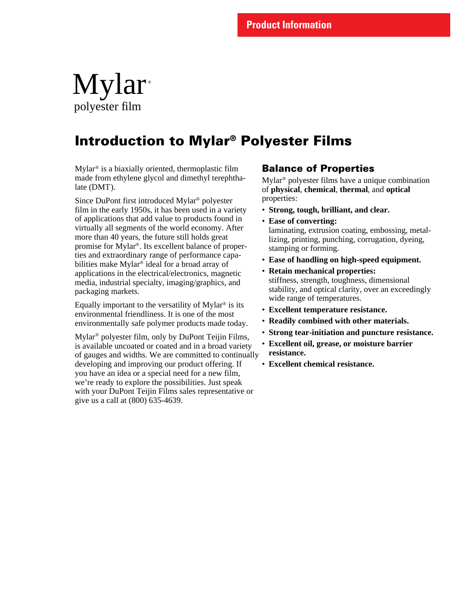## Mylar polyester film ®

## **Introduction to Mylar® Polyester Films**

Mylar® is a biaxially oriented, thermoplastic film made from ethylene glycol and dimethyl terephthalate (DMT).

Since DuPont first introduced Mylar® polyester film in the early 1950s, it has been used in a variety of applications that add value to products found in virtually all segments of the world economy. After more than 40 years, the future still holds great promise for Mylar®. Its excellent balance of properties and extraordinary range of performance capabilities make Mylar® ideal for a broad array of applications in the electrical/electronics, magnetic media, industrial specialty, imaging/graphics, and packaging markets.

Equally important to the versatility of Mylar® is its environmental friendliness. It is one of the most environmentally safe polymer products made today.

Mylar ® polyester film, only by DuPont Teijin Films, is available uncoated or coated and in a broad variety of gauges and widths. We are committed to continually developing and improving our product offering. If you have an idea or a special need for a new film, we're ready to explore the possibilities. Just speak with your DuPont Teijin Films sales representative or give us a call at (800) 635-4639.

## **Balance of Properties**

Mylar® polyester films have a unique combination of **physical**, **chemical**, **thermal**, and **optical** properties:

- **Strong, tough, brilliant, and clear.**
- **Ease of converting:** laminating, extrusion coating, embossing, metallizing, printing, punching, corrugation, dyeing, stamping or forming.
- **Ease of handling on high-speed equipment.**
- **Retain mechanical properties:** stiffness, strength, toughness, dimensional stability, and optical clarity, over an exceedingly wide range of temperatures.
- **Excellent temperature resistance.**
- **Readily combined with other materials.**
- **Strong tear-initiation and puncture resistance.**
- **Excellent oil, grease, or moisture barrier resistance.**
- **Excellent chemical resistance.**